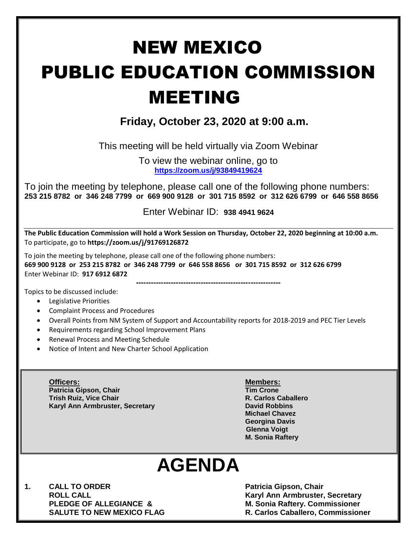# NEW MEXICO PUBLIC EDUCATION COMMISSION MEETING

### **Friday, October 23, 2020 at 9:00 a.m.**

This meeting will be held virtually via Zoom Webinar

To view the webinar online, go to **<https://zoom.us/j/93849419624>**

To join the meeting by telephone, please call one of the following phone numbers: **253 215 8782 or 346 248 7799 or 669 900 9128 or 301 715 8592 or 312 626 6799 or 646 558 8656** 

Enter Webinar ID: **938 4941 9624**

**The Public Education Commission will hold a Work Session on Thursday, October 22, 2020 beginning at 10:00 a.m.**  To participate, go to **https://zoom.us/j/91769126872**

To join the meeting by telephone, please call one of the following phone numbers:

**669 900 9128 or 253 215 8782 or 346 248 7799 or 646 558 8656 or 301 715 8592 or 312 626 6799**  Enter Webinar ID: **917 6912 6872**

**----------------------------------------------------------** Topics to be discussed include:

- Legislative Priorities
- Complaint Process and Procedures
- Overall Points from NM System of Support and Accountability reports for 2018-2019 and PEC Tier Levels
- Requirements regarding School Improvement Plans
- Renewal Process and Meeting Schedule
- Notice of Intent and New Charter School Application
	- **Officers: Members: Patricia Gipson, Chair Tim Crone Trish Ruiz, Vice Chair R. Carlos Caballero Karyl Ann Armbruster, Secretary <b>David Robbins David Robbins**

**Michael Chavez Georgina Davis Glenna Voigt M. Sonia Raftery**

## **AGENDA**

**1. CALL TO ORDER Patricia Gipson, Chair** 

**ROLL CALL Karyl Ann Armbruster, Secretary PLEDGE OF ALLEGIANCE & M. Sonia Raftery. Commissioner SALUTE TO NEW MEXICO FLAG R. Carlos Caballero, Commissioner**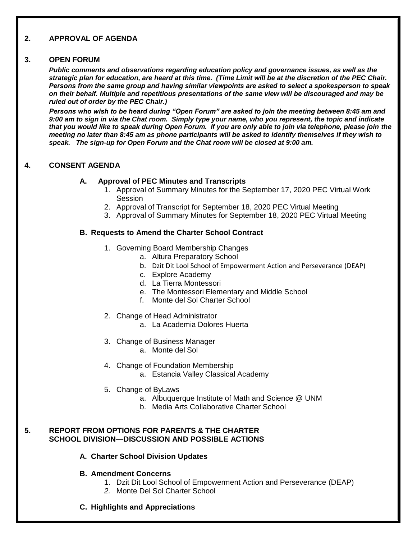#### **2. APPROVAL OF AGENDA**

#### **3. OPEN FORUM**

*Public comments and observations regarding education policy and governance issues, as well as the strategic plan for education, are heard at this time. (Time Limit will be at the discretion of the PEC Chair. Persons from the same group and having similar viewpoints are asked to select a spokesperson to speak on their behalf. Multiple and repetitious presentations of the same view will be discouraged and may be ruled out of order by the PEC Chair.)*

*Persons who wish to be heard during "Open Forum" are asked to join the meeting between 8:45 am and 9:00 am to sign in via the Chat room. Simply type your name, who you represent, the topic and indicate that you would like to speak during Open Forum. If you are only able to join via telephone, please join the meeting no later than 8:45 am as phone participants will be asked to identify themselves if they wish to speak. The sign-up for Open Forum and the Chat room will be closed at 9:00 am.*

#### **4. CONSENT AGENDA**

#### **A. Approval of PEC Minutes and Transcripts**

- 1. Approval of Summary Minutes for the September 17, 2020 PEC Virtual Work Session
- 2. Approval of Transcript for September 18, 2020 PEC Virtual Meeting
- 3. Approval of Summary Minutes for September 18, 2020 PEC Virtual Meeting

#### **B. Requests to Amend the Charter School Contract**

- 1. Governing Board Membership Changes
	- a. Altura Preparatory School
	- b. Dzit Dit Lool School of Empowerment Action and Perseverance (DEAP)
	- c. Explore Academy
	- d. La Tierra Montessori
	- e. The Montessori Elementary and Middle School
	- f. Monte del Sol Charter School
- 2. Change of Head Administrator
	- a. La Academia Dolores Huerta
- 3. Change of Business Manager
	- a. Monte del Sol
- 4. Change of Foundation Membership
	- a. Estancia Valley Classical Academy
- 5. Change of ByLaws
	- a. Albuquerque Institute of Math and Science @ UNM
	- b. Media Arts Collaborative Charter School

#### **5. REPORT FROM OPTIONS FOR PARENTS & THE CHARTER SCHOOL DIVISION—DISCUSSION AND POSSIBLE ACTIONS**

- **A. Charter School Division Updates**
- **B. Amendment Concerns** 
	- 1. Dzit Dit Lool School of Empowerment Action and Perseverance (DEAP)
	- *2.* Monte Del Sol Charter School
- **C. Highlights and Appreciations**